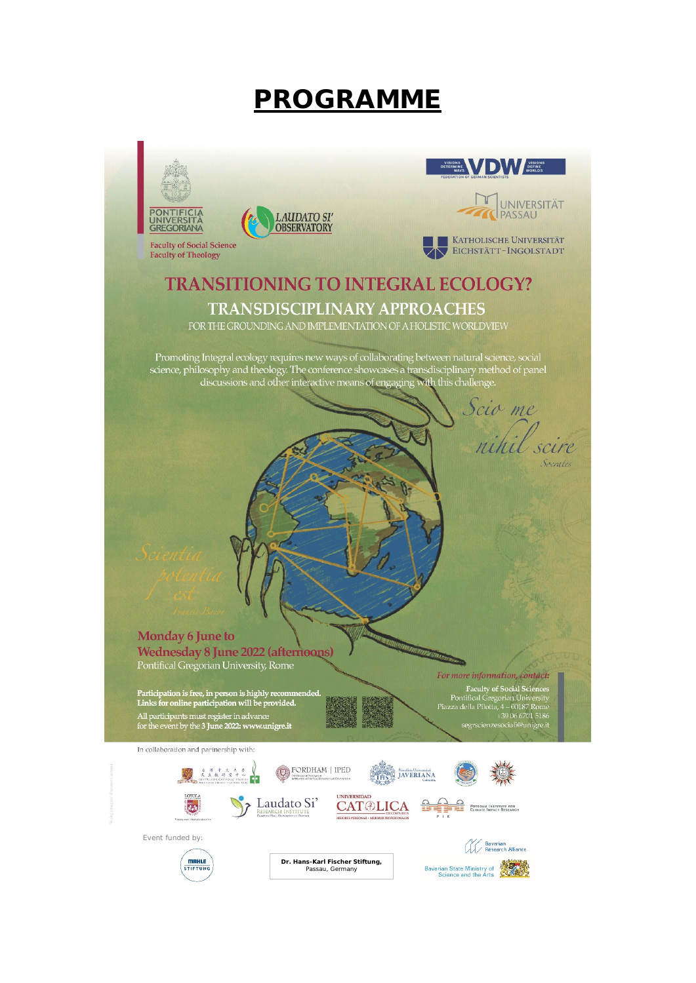# **PROGRAMME**

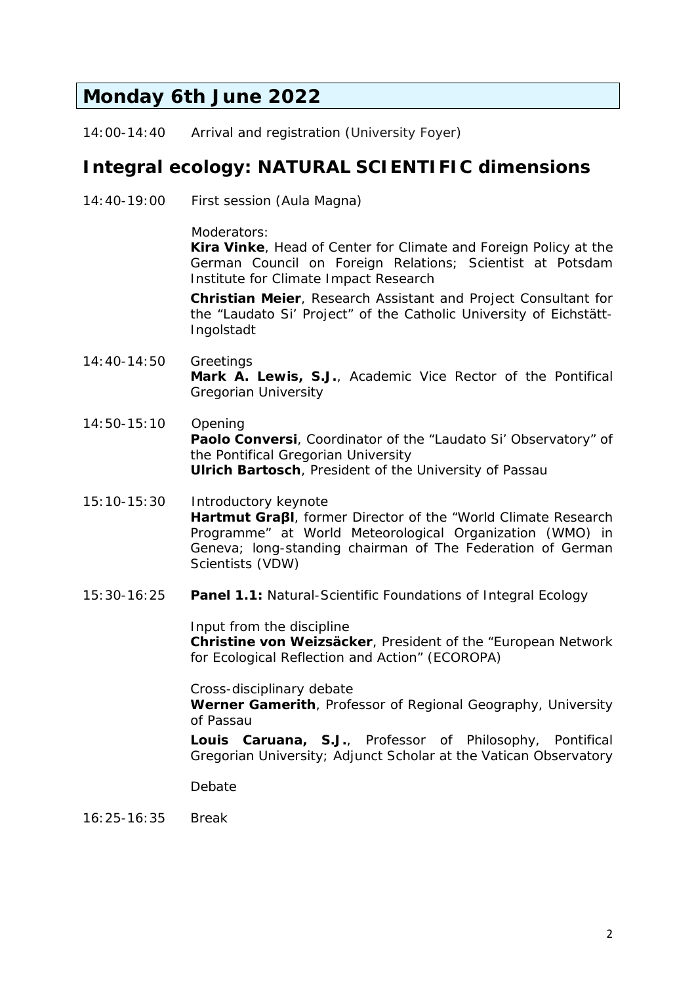### **Monday 6th June 2022**

14:00-14:40 *Arrival and registration (University Foyer)*

### *Integral ecology: NATURAL SCIENTIFIC dimensions*

14:40-19:00 First session (Aula Magna)

Moderators:

**Kira Vinke**, Head of Center for Climate and Foreign Policy at the German Council on Foreign Relations; Scientist at Potsdam Institute for Climate Impact Research

**Christian Meier**, Research Assistant and Project Consultant for the "Laudato Si' Project" of the Catholic University of Eichstätt-Ingolstadt

- 14:40-14:50 Greetings **Mark A. Lewis, S.J.**, Academic Vice Rector of the Pontifical Gregorian University
- 14:50-15:10 Opening **Paolo Conversi**, Coordinator of the "Laudato Si' Observatory" of the Pontifical Gregorian University **Ulrich Bartosch**, President of the University of Passau
- 15:10-15:30 Introductory keynote **Hartmut Graβl**, former Director of the "World Climate Research Programme" at World Meteorological Organization (WMO) in Geneva; long-standing chairman of The Federation of German Scientists (VDW)
- 15:30-16:25 **Panel 1.1:** Natural-Scientific Foundations of Integral Ecology

Input from the discipline

**Christine von Weizsäcker**, President of the "European Network for Ecological Reflection and Action" (ECOROPA)

Cross-disciplinary debate **Werner Gamerith**, Professor of Regional Geography, University of Passau

**Louis Caruana, S.J.**, Professor of Philosophy, Pontifical Gregorian University; Adjunct Scholar at the Vatican Observatory

Debate

16:25-16:35 Break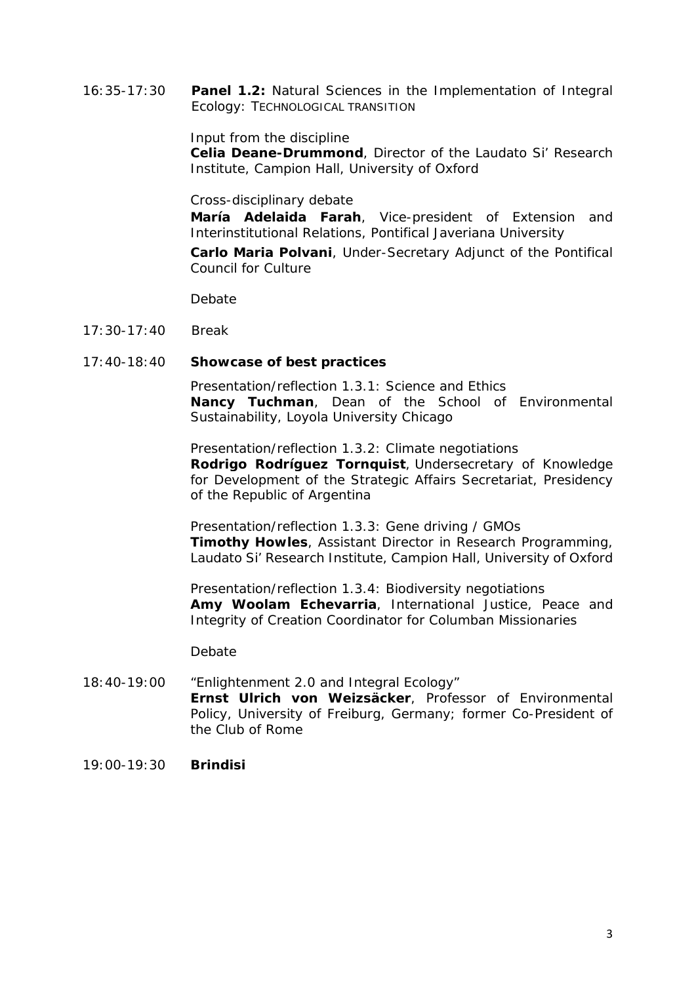16:35-17:30 **Panel 1.2:** Natural Sciences in the Implementation of Integral Ecology: TECHNOLOGICAL TRANSITION

Input from the discipline

**Celia Deane-Drummond**, Director of the Laudato Si' Research Institute, Campion Hall, University of Oxford

Cross-disciplinary debate

**María Adelaida Farah**, Vice-president of Extension and Interinstitutional Relations, Pontifical Javeriana University

**Carlo Maria Polvani**, Under-Secretary Adjunct of the Pontifical Council for Culture

Debate

17:30-17:40 Break

#### 17:40-18:40 **Showcase of best practices**

Presentation/reflection 1.3.1: Science and Ethics **Nancy Tuchman**, Dean of the School of Environmental Sustainability, Loyola University Chicago

Presentation/reflection 1.3.2: Climate negotiations **Rodrigo Rodríguez Tornquist**, Undersecretary of Knowledge for Development of the Strategic Affairs Secretariat, Presidency of the Republic of Argentina

Presentation/reflection 1.3.3: Gene driving / GMOs **Timothy Howles**, Assistant Director in Research Programming, Laudato Si' Research Institute, Campion Hall, University of Oxford

Presentation/reflection 1.3.4: Biodiversity negotiations **Amy Woolam Echevarria**, International Justice, Peace and Integrity of Creation Coordinator for Columban Missionaries

Debate

- 18:40-19:00 "Enlightenment 2.0 and Integral Ecology" **Ernst Ulrich von Weizsäcker**, Professor of Environmental Policy, University of Freiburg, Germany; former Co-President of the Club of Rome
- 19:00-19:30 **Brindisi**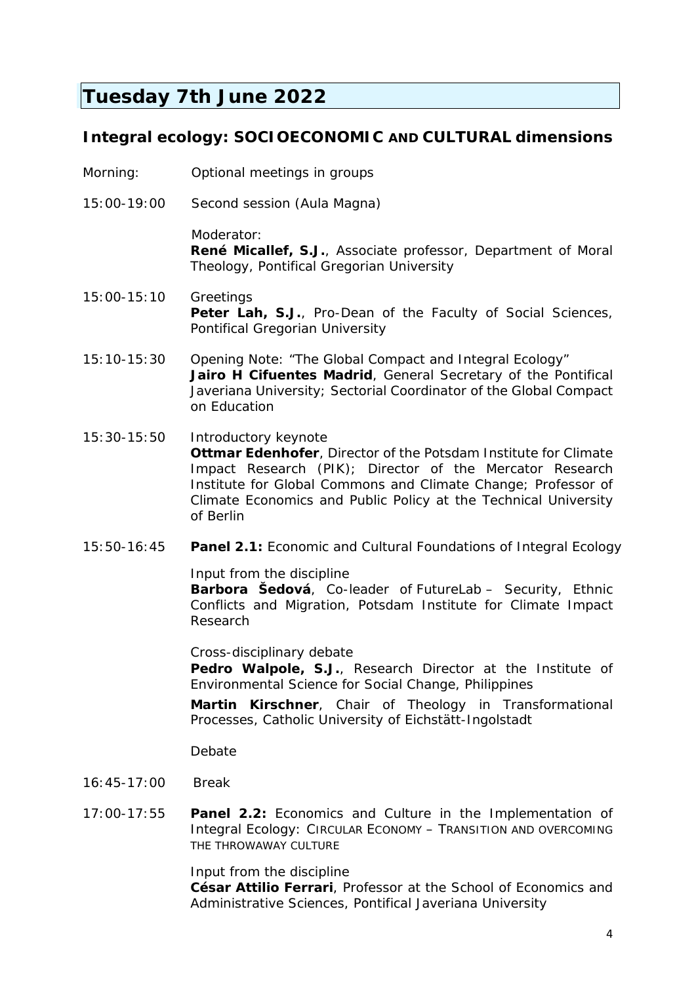## **Tuesday 7th June 2022**

### *Integral ecology: SOCIOECONOMIC AND CULTURAL dimensions*

- *Morning: Optional meetings in groups*
- *15:00-19:00 Second session (Aula Magna)*

Moderator: **René Micallef, S.J.**, Associate professor, Department of Moral Theology, Pontifical Gregorian University

- 15:00-15:10 Greetings Peter Lah, S.J., Pro-Dean of the Faculty of Social Sciences, Pontifical Gregorian University
- 15:10-15:30 Opening Note: "The Global Compact and Integral Ecology" **Jairo H Cifuentes Madrid**, General Secretary of the Pontifical Javeriana University; Sectorial Coordinator of the Global Compact on Education
- 15:30-15:50 Introductory keynote **Ottmar Edenhofer**, Director of the Potsdam Institute for Climate Impact Research (PIK); Director of the Mercator Research Institute for Global Commons and Climate Change; Professor of Climate Economics and Public Policy at the Technical University of Berlin
- 15:50-16:45 **Panel 2.1:** Economic and Cultural Foundations of Integral Ecology

Input from the discipline

**Barbora Šedová**, Co-leader of *FutureLab* – Security, Ethnic Conflicts and Migration, Potsdam Institute for Climate Impact Research

Cross-disciplinary debate

Pedro Walpole, S.J., Research Director at the Institute of Environmental Science for Social Change, Philippines

**Martin Kirschner**, Chair of Theology in Transformational Processes, Catholic University of Eichstätt-Ingolstadt

Debate

- 16:45-17:00 Break
- 17:00-17:55 **Panel 2.2:** Economics and Culture in the Implementation of Integral Ecology: CIRCULAR ECONOMY – TRANSITION AND OVERCOMING THE THROWAWAY CULTURE

Input from the discipline

**César Attilio Ferrari**, Professor at the School of Economics and Administrative Sciences, Pontifical Javeriana University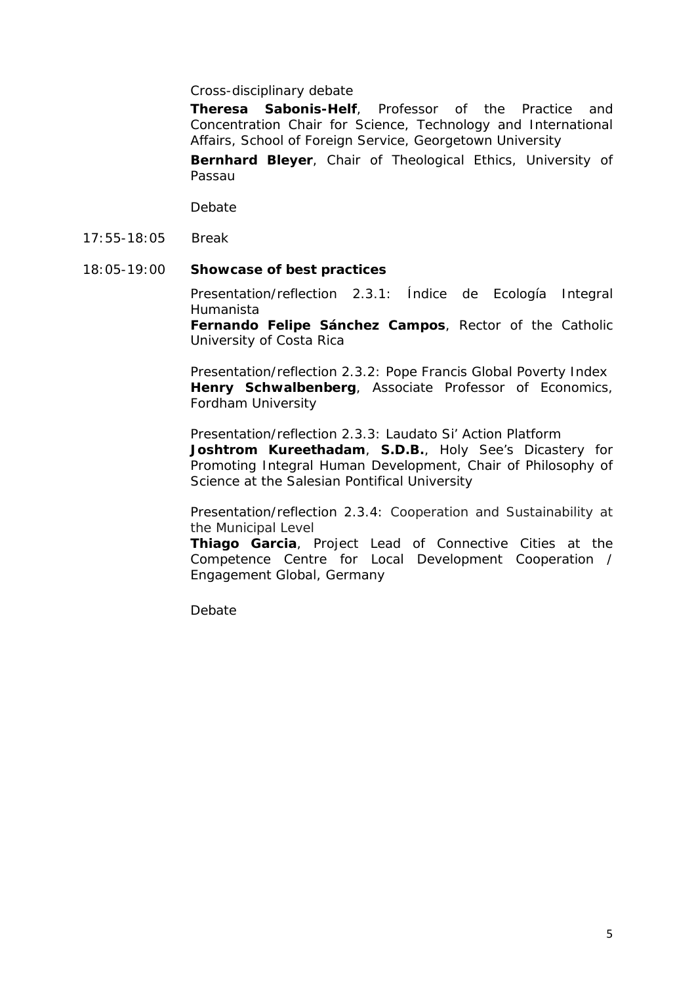Cross-disciplinary debate

**Theresa Sabonis-Helf**, Professor of the Practice and Concentration Chair for Science, Technology and International Affairs, School of Foreign Service, Georgetown University

**Bernhard Bleyer**, Chair of Theological Ethics, University of Passau

Debate

17:55-18:05 Break

#### 18:05-19:00 **Showcase of best practices**

Presentation/reflection 2.3.1: Índice de Ecología Integral Humanista

**Fernando Felipe Sánchez Campos**, Rector of the Catholic University of Costa Rica

Presentation/reflection 2.3.2: Pope Francis Global Poverty Index **Henry Schwalbenberg**, Associate Professor of Economics, Fordham University

Presentation/reflection 2.3.3: Laudato Si' Action Platform **Joshtrom Kureethadam**, **S.D.B.**, Holy See's Dicastery for Promoting Integral Human Development, Chair of Philosophy of Science at the Salesian Pontifical University

Presentation/reflection 2.3.4: Cooperation and Sustainability at the Municipal Level

**Thiago Garcia**, Project Lead of Connective Cities at the Competence Centre for Local Development Cooperation / Engagement Global, Germany

Debate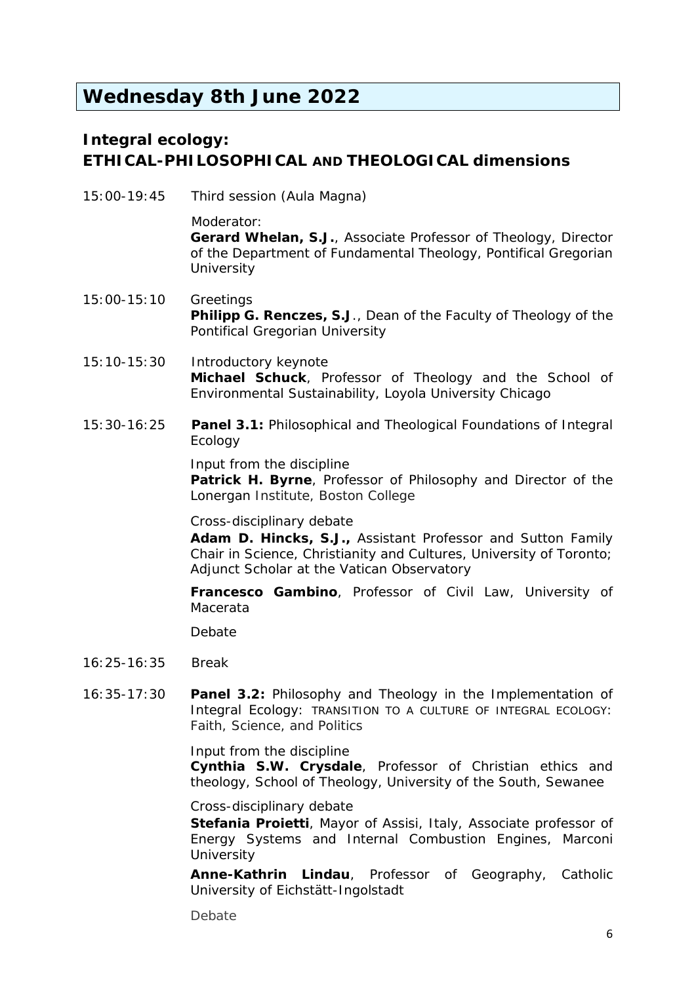## **Wednesday 8th June 2022**

### *Integral ecology: ETHICAL-PHILOSOPHICAL AND THEOLOGICAL dimensions*

*15:00-19:45 Third session (Aula Magna)*

Moderator: **Gerard Whelan, S.J.**, Associate Professor of Theology, Director of the Department of Fundamental Theology, Pontifical Gregorian **University** 

- 15:00-15:10 Greetings **Philipp G. Renczes, S.J**., Dean of the Faculty of Theology of the Pontifical Gregorian University
- 15:10-15:30 Introductory keynote **Michael Schuck**, Professor of Theology and the School of Environmental Sustainability, Loyola University Chicago
- 15:30-16:25 **Panel 3.1:** Philosophical and Theological Foundations of Integral Ecology

Input from the discipline

**Patrick H. Byrne**, Professor of Philosophy and Director of the Lonergan Institute, Boston College

Cross-disciplinary debate

**Adam D. Hincks, S.J.,** Assistant Professor and Sutton Family Chair in Science, Christianity and Cultures, University of Toronto; Adjunct Scholar at the Vatican Observatory

**Francesco Gambino**, Professor of Civil Law, University of Macerata

Debate

- 16:25-16:35 Break
- 16:35-17:30 **Panel 3.2:** Philosophy and Theology in the Implementation of Integral Ecology: TRANSITION TO A CULTURE OF INTEGRAL ECOLOGY: Faith, Science, and Politics

Input from the discipline

**Cynthia S.W. Crysdale**, Professor of Christian ethics and theology, School of Theology, University of the South, Sewanee

Cross-disciplinary debate

**Stefania Proietti**, Mayor of Assisi, Italy, Associate professor of Energy Systems and Internal Combustion Engines, Marconi **University** 

**Anne-Kathrin Lindau**, Professor of Geography, Catholic University of Eichstätt-Ingolstadt

**Debate**